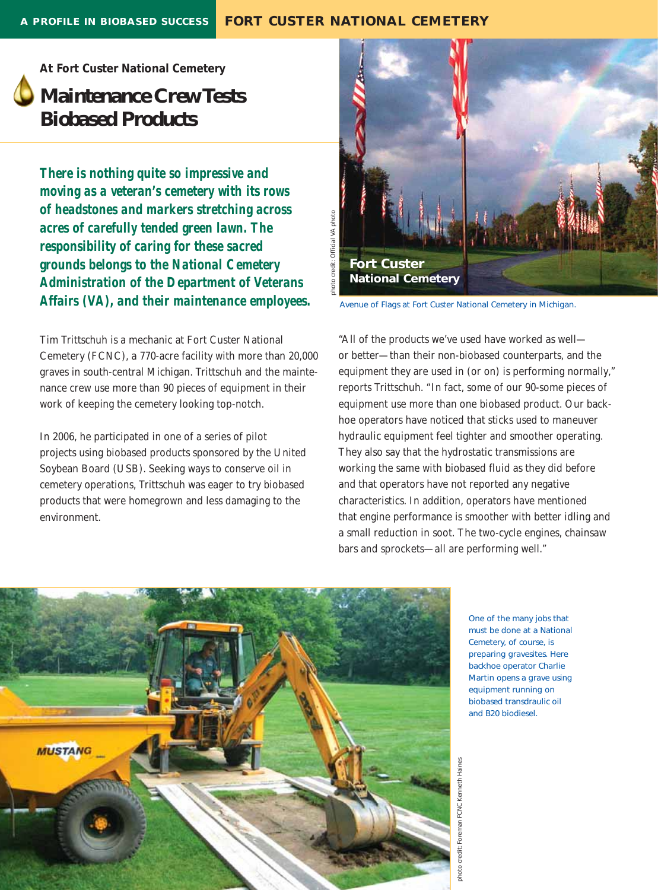## *At Fort Custer National Cemetery*

## **Maintenance Crew Tests Biobased Products**

*There is nothing quite so impressive and moving as a veteran's cemetery with its rows of headstones and markers stretching across acres of carefully tended green lawn. The responsibility of caring for these sacred grounds belongs to the National Cemetery Administration of the Department of Veterans Affairs (VA), and their maintenance employees.* 

Tim Trittschuh is a mechanic at Fort Custer National Cemetery (FCNC), a 770-acre facility with more than 20,000 graves in south-central Michigan. Trittschuh and the maintenance crew use more than 90 pieces of equipment in their work of keeping the cemetery looking top-notch.

In 2006, he participated in one of a series of pilot projects using biobased products sponsored by the United Soybean Board (USB). Seeking ways to conserve oil in cemetery operations, Trittschuh was eager to try biobased products that were homegrown and less damaging to the environment.



*Avenue of Flags at Fort Custer National Cemetery in Michigan.* 

"All of the products we've used have worked as well or better—than their non-biobased counterparts, and the equipment they are used in (or on) is performing normally," reports Trittschuh. "In fact, some of our 90-some pieces of equipment use more than one biobased product. Our backhoe operators have noticed that sticks used to maneuver hydraulic equipment feel tighter and smoother operating. They also say that the hydrostatic transmissions are working the same with biobased fluid as they did before and that operators have not reported any negative characteristics. In addition, operators have mentioned that engine performance is smoother with better idling and a small reduction in soot. The two-cycle engines, chainsaw bars and sprockets—all are performing well."



*One of the many jobs that must be done at a National Cemetery, of course, is preparing gravesites. Here backhoe operator Charlie Martin opens a grave using equipment running on biobased transdraulic oil and B20 biodiesel.*